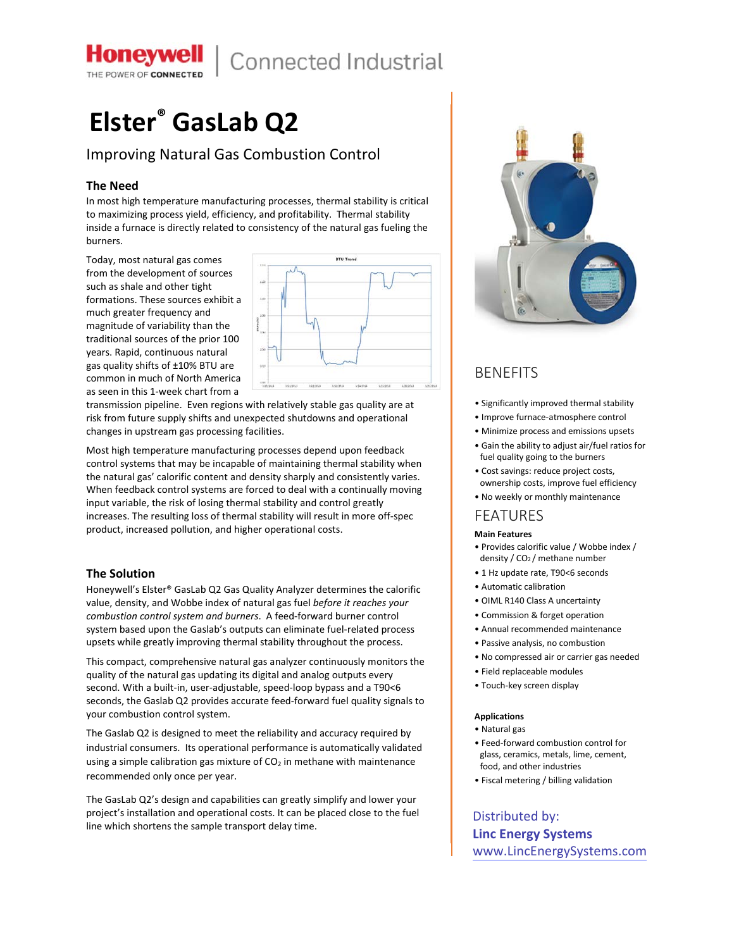

## Connected Industrial

# **Elster® GasLab Q2**

## Improving Natural Gas Combustion Control

### **The Need**

In most high temperature manufacturing processes, thermal stability is critical to maximizing process yield, efficiency, and profitability. Thermal stability inside a furnace is directly related to consistency of the natural gas fueling the burners.

Today, most natural gas comes from the development of sources such as shale and other tight formations. These sources exhibit a much greater frequency and magnitude of variability than the traditional sources of the prior 100 years. Rapid, continuous natural gas quality shifts of ±10% BTU are common in much of North America as seen in this 1-week chart from a



transmission pipeline. Even regions with relatively stable gas quality are at risk from future supply shifts and unexpected shutdowns and operational changes in upstream gas processing facilities.

Most high temperature manufacturing processes depend upon feedback control systems that may be incapable of maintaining thermal stability when the natural gas' calorific content and density sharply and consistently varies. When feedback control systems are forced to deal with a continually moving input variable, the risk of losing thermal stability and control greatly increases. The resulting loss of thermal stability will result in more off-spec product, increased pollution, and higher operational costs.

#### **The Solution**

Honeywell's Elster® GasLab Q2 Gas Quality Analyzer determines the calorific value, density, and Wobbe index of natural gas fuel *before it reaches your combustion control system and burners*. A feed-forward burner control system based upon the Gaslab's outputs can eliminate fuel-related process upsets while greatly improving thermal stability throughout the process.

This compact, comprehensive natural gas analyzer continuously monitors the quality of the natural gas updating its digital and analog outputs every second. With a built-in, user-adjustable, speed-loop bypass and a T90<6 seconds, the Gaslab Q2 provides accurate feed-forward fuel quality signals to your combustion control system.

The Gaslab Q2 is designed to meet the reliability and accuracy required by industrial consumers. Its operational performance is automatically validated using a simple calibration gas mixture of  $CO<sub>2</sub>$  in methane with maintenance recommended only once per year.

The GasLab Q2's design and capabilities can greatly simplify and lower your project's installation and operational costs. It can be placed close to the fuel line which shortens the sample transport delay time.



## **BENEFITS**

- Significantly improved thermal stability
- Improve furnace-atmosphere control
- Minimize process and emissions upsets
- Gain the ability to adjust air/fuel ratios for fuel quality going to the burners
- Cost savings: reduce project costs, ownership costs, improve fuel efficiency
- No weekly or monthly maintenance

## FEATURES

#### **Main Features**

- Provides calorific value / Wobbe index / density / CO2 / methane number
- 1 Hz update rate, T90<6 seconds
- Automatic calibration
- OIML R140 Class A uncertainty
- Commission & forget operation
- Annual recommended maintenance
- Passive analysis, no combustion
- No compressed air or carrier gas needed
- Field replaceable modules
- Touch-key screen display

#### **Applications**

- Natural gas
- Feed-forward combustion control for glass, ceramics, metals, lime, cement, food, and other industries
- Fiscal metering / billing validation

Distributed by: **Linc Energy Systems** [www.LincEnergySystems.com](https://www.lincenergysystems.com/gas-flow/meter/analyzer/elster-gaslab-q2/)